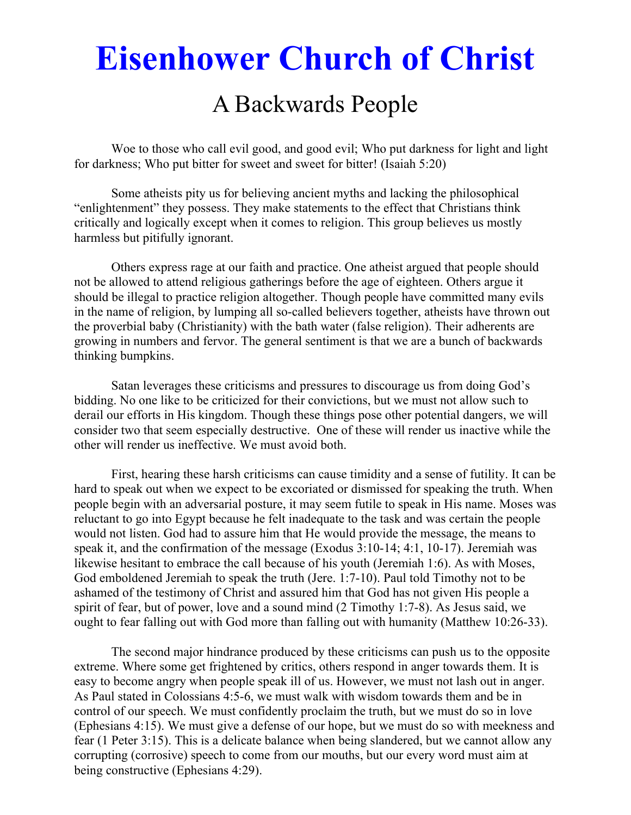# **Eisenhower Church of Christ**

# A Backwards People

 Woe to those who call evil good, and good evil; Who put darkness for light and light for darkness; Who put bitter for sweet and sweet for bitter! (Isaiah 5:20)

Some atheists pity us for believing ancient myths and lacking the philosophical "enlightenment" they possess. They make statements to the effect that Christians think critically and logically except when it comes to religion. This group believes us mostly harmless but pitifully ignorant.

 Others express rage at our faith and practice. One atheist argued that people should not be allowed to attend religious gatherings before the age of eighteen. Others argue it should be illegal to practice religion altogether. Though people have committed many evils in the name of religion, by lumping all so-called believers together, atheists have thrown out the proverbial baby (Christianity) with the bath water (false religion). Their adherents are growing in numbers and fervor. The general sentiment is that we are a bunch of backwards thinking bumpkins.

 Satan leverages these criticisms and pressures to discourage us from doing God's bidding. No one like to be criticized for their convictions, but we must not allow such to derail our efforts in His kingdom. Though these things pose other potential dangers, we will consider two that seem especially destructive. One of these will render us inactive while the other will render us ineffective. We must avoid both.

 First, hearing these harsh criticisms can cause timidity and a sense of futility. It can be hard to speak out when we expect to be excoriated or dismissed for speaking the truth. When people begin with an adversarial posture, it may seem futile to speak in His name. Moses was reluctant to go into Egypt because he felt inadequate to the task and was certain the people would not listen. God had to assure him that He would provide the message, the means to speak it, and the confirmation of the message (Exodus 3:10-14; 4:1, 10-17). Jeremiah was likewise hesitant to embrace the call because of his youth (Jeremiah 1:6). As with Moses, God emboldened Jeremiah to speak the truth (Jere. 1:7-10). Paul told Timothy not to be ashamed of the testimony of Christ and assured him that God has not given His people a spirit of fear, but of power, love and a sound mind (2 Timothy 1:7-8). As Jesus said, we ought to fear falling out with God more than falling out with humanity (Matthew 10:26-33).

 The second major hindrance produced by these criticisms can push us to the opposite extreme. Where some get frightened by critics, others respond in anger towards them. It is easy to become angry when people speak ill of us. However, we must not lash out in anger. As Paul stated in Colossians 4:5-6, we must walk with wisdom towards them and be in control of our speech. We must confidently proclaim the truth, but we must do so in love (Ephesians 4:15). We must give a defense of our hope, but we must do so with meekness and fear (1 Peter 3:15). This is a delicate balance when being slandered, but we cannot allow any corrupting (corrosive) speech to come from our mouths, but our every word must aim at being constructive (Ephesians 4:29).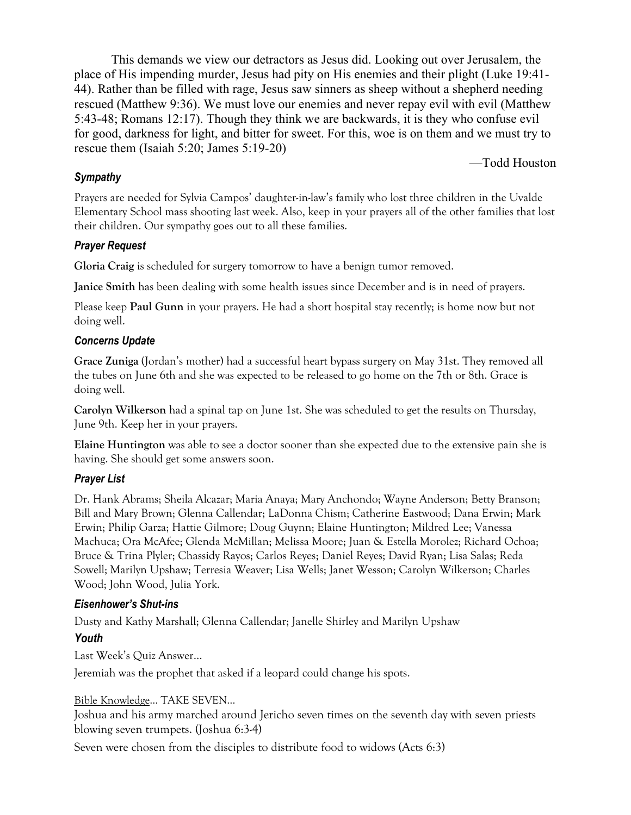This demands we view our detractors as Jesus did. Looking out over Jerusalem, the place of His impending murder, Jesus had pity on His enemies and their plight (Luke 19:41- 44). Rather than be filled with rage, Jesus saw sinners as sheep without a shepherd needing rescued (Matthew 9:36). We must love our enemies and never repay evil with evil (Matthew 5:43-48; Romans 12:17). Though they think we are backwards, it is they who confuse evil for good, darkness for light, and bitter for sweet. For this, woe is on them and we must try to rescue them (Isaiah 5:20; James 5:19-20)

#### —Todd Houston

#### *Sympathy*

Prayers are needed for Sylvia Campos' daughter-in-law's family who lost three children in the Uvalde Elementary School mass shooting last week. Also, keep in your prayers all of the other families that lost their children. Our sympathy goes out to all these families.

### *Prayer Request*

**Gloria Craig** is scheduled for surgery tomorrow to have a benign tumor removed.

**Janice Smith** has been dealing with some health issues since December and is in need of prayers.

Please keep **Paul Gunn** in your prayers. He had a short hospital stay recently; is home now but not doing well.

#### *Concerns Update*

**Grace Zuniga** (Jordan's mother) had a successful heart bypass surgery on May 31st. They removed all the tubes on June 6th and she was expected to be released to go home on the 7th or 8th. Grace is doing well.

**Carolyn Wilkerson** had a spinal tap on June 1st. She was scheduled to get the results on Thursday, June 9th. Keep her in your prayers.

**Elaine Huntington** was able to see a doctor sooner than she expected due to the extensive pain she is having. She should get some answers soon.

# *Prayer List*

Dr. Hank Abrams; Sheila Alcazar; Maria Anaya; Mary Anchondo; Wayne Anderson; Betty Branson; Bill and Mary Brown; Glenna Callendar; LaDonna Chism; Catherine Eastwood; Dana Erwin; Mark Erwin; Philip Garza; Hattie Gilmore; Doug Guynn; Elaine Huntington; Mildred Lee; Vanessa Machuca; Ora McAfee; Glenda McMillan; Melissa Moore; Juan & Estella Morolez; Richard Ochoa; Bruce & Trina Plyler; Chassidy Rayos; Carlos Reyes; Daniel Reyes; David Ryan; Lisa Salas; Reda Sowell; Marilyn Upshaw; Terresia Weaver; Lisa Wells; Janet Wesson; Carolyn Wilkerson; Charles Wood; John Wood, Julia York.

# *Eisenhower's Shut-ins*

Dusty and Kathy Marshall; Glenna Callendar; Janelle Shirley and Marilyn Upshaw

# *Youth*

Last Week's Quiz Answer…

Jeremiah was the prophet that asked if a leopard could change his spots.

#### Bible Knowledge... TAKE SEVEN…

Joshua and his army marched around Jericho seven times on the seventh day with seven priests blowing seven trumpets. (Joshua 6:3-4)

Seven were chosen from the disciples to distribute food to widows (Acts 6:3)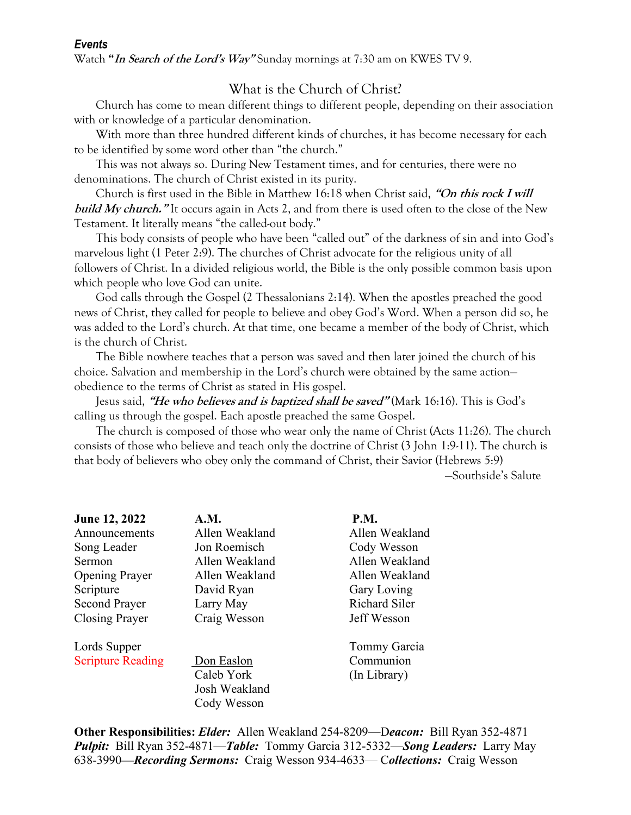#### *Events*

Watch **"In Search of the Lord's Way"** Sunday mornings at 7:30 am on KWES TV 9.

# What is the Church of Christ?

 Church has come to mean different things to different people, depending on their association with or knowledge of a particular denomination.

 With more than three hundred different kinds of churches, it has become necessary for each to be identified by some word other than "the church."

 This was not always so. During New Testament times, and for centuries, there were no denominations. The church of Christ existed in its purity.

 Church is first used in the Bible in Matthew 16:18 when Christ said, **"On this rock I will build My church."** It occurs again in Acts 2, and from there is used often to the close of the New Testament. It literally means "the called-out body."

 This body consists of people who have been "called out" of the darkness of sin and into God's marvelous light (1 Peter 2:9). The churches of Christ advocate for the religious unity of all followers of Christ. In a divided religious world, the Bible is the only possible common basis upon which people who love God can unite.

 God calls through the Gospel (2 Thessalonians 2:14). When the apostles preached the good news of Christ, they called for people to believe and obey God's Word. When a person did so, he was added to the Lord's church. At that time, one became a member of the body of Christ, which is the church of Christ.

 The Bible nowhere teaches that a person was saved and then later joined the church of his choice. Salvation and membership in the Lord's church were obtained by the same action obedience to the terms of Christ as stated in His gospel.

 Jesus said, **"He who believes and is baptized shall be saved"** (Mark 16:16). This is God's calling us through the gospel. Each apostle preached the same Gospel.

 The church is composed of those who wear only the name of Christ (Acts 11:26). The church consists of those who believe and teach only the doctrine of Christ (3 John 1:9-11). The church is that body of believers who obey only the command of Christ, their Savior (Hebrews 5:9)

—Southside's Salute

| June 12, 2022            | A.M.           | <b>P.M.</b>          |
|--------------------------|----------------|----------------------|
| Announcements            | Allen Weakland | Allen Weakland       |
| Song Leader              | Jon Roemisch   | Cody Wesson          |
| <b>Sermon</b>            | Allen Weakland | Allen Weakland       |
| <b>Opening Prayer</b>    | Allen Weakland | Allen Weakland       |
| Scripture                | David Ryan     | Gary Loving          |
| <b>Second Prayer</b>     | Larry May      | <b>Richard Siler</b> |
| Closing Prayer           | Craig Wesson   | Jeff Wesson          |
| Lords Supper             |                | Tommy Garcia         |
| <b>Scripture Reading</b> | Don Easlon     | Communion            |
|                          | Caleb York     | (In Library)         |
|                          | Josh Weakland  |                      |
|                          | Cody Wesson    |                      |

**Other Responsibilities:** *Elder:* Allen Weakland 254-8209—D*eacon:*Bill Ryan 352-4871 *Pulpit:* Bill Ryan 352-4871—*Table:* Tommy Garcia 312-5332—*Song Leaders:* Larry May 638-3990*—Recording Sermons:* Craig Wesson 934-4633— C*ollections:* Craig Wesson